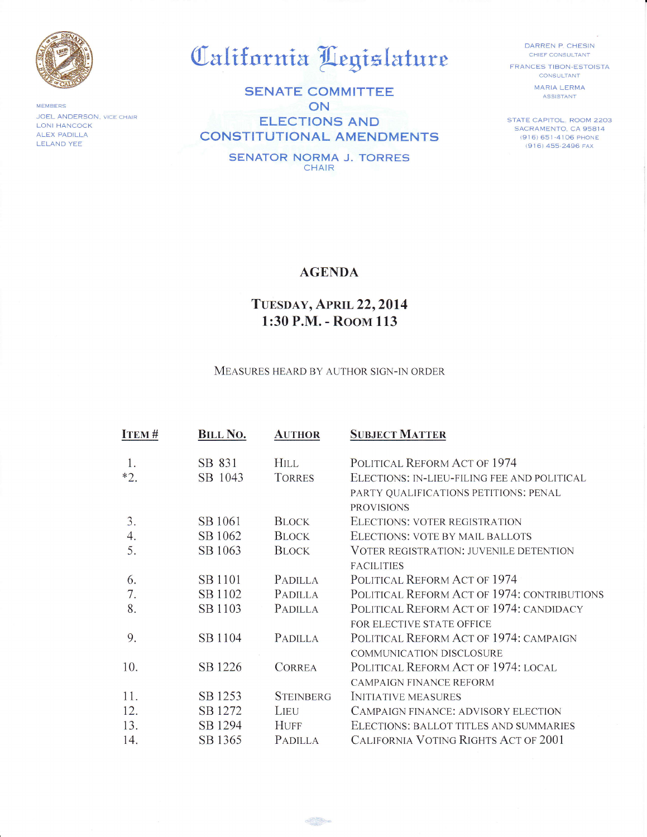

**MEMBERS** JOEL ANDERSON, VICE CHAIR **LONI HANCOCK** ALEX PADILLA **LELAND YEE** 

## California Legislature

**SENATE COMMITTEE** ON **ELECTIONS AND CONSTITUTIONAL AMENDMENTS** 

> **SENATOR NORMA J. TORRES** CHAIR

DARREN P. CHESIN CHIEF CONSULTANT **FRANCES TIBON-ESTOISTA** 

CONSULTANT **MARIA LERMA ASSISTANT** 

STATE CAPITOL, ROOM 2203 SACRAMENTO, CA 95814 (916) 651-4106 PHONE (916) 455-2496 FAX

## **AGENDA**

## TUESDAY, APRIL 22, 2014 1:30 P.M. - ROOM 113

MEASURES HEARD BY AUTHOR SIGN-IN ORDER

| <b>ITEM#</b> | <b>BILL NO.</b> | <b>AUTHOR</b>    | <b>SUBJECT MATTER</b>                         |
|--------------|-----------------|------------------|-----------------------------------------------|
|              | SB 831          | <b>HILL</b>      | POLITICAL REFORM ACT OF 1974                  |
| $*2.$        | SB 1043         | <b>TORRES</b>    | ELECTIONS: IN-LIEU-FILING FEE AND POLITICAL   |
|              |                 |                  | PARTY QUALIFICATIONS PETITIONS: PENAL         |
|              |                 |                  | <b>PROVISIONS</b>                             |
| 3.           | SB 1061         | <b>BLOCK</b>     | ELECTIONS: VOTER REGISTRATION                 |
| 4.           | SB 1062         | <b>BLOCK</b>     | ELECTIONS: VOTE BY MAIL BALLOTS               |
| 5.           | SB 1063         | <b>BLOCK</b>     | <b>VOTER REGISTRATION: JUVENILE DETENTION</b> |
|              |                 |                  | <b>FACILITIES</b>                             |
| 6.           | SB 1101         | PADILLA          | POLITICAL REFORM ACT OF 1974                  |
| 7.           | SB 1102         | PADILLA          | POLITICAL REFORM ACT OF 1974: CONTRIBUTIONS   |
| 8.           | SB 1103         | <b>PADILLA</b>   | POLITICAL REFORM ACT OF 1974: CANDIDACY       |
|              |                 |                  | FOR ELECTIVE STATE OFFICE                     |
| 9.           | SB 1104         | <b>PADILLA</b>   | POLITICAL REFORM ACT OF 1974: CAMPAIGN        |
|              |                 |                  | <b>COMMUNICATION DISCLOSURE</b>               |
| 10.          | SB 1226         | <b>CORREA</b>    | POLITICAL REFORM ACT OF 1974: LOCAL           |
|              |                 |                  | <b>CAMPAIGN FINANCE REFORM</b>                |
| 11.          | SB 1253         | <b>STEINBERG</b> | <b>INITIATIVE MEASURES</b>                    |
| 12.          | SB 1272         | LIEU             | <b>CAMPAIGN FINANCE: ADVISORY ELECTION</b>    |
| 13.          | SB 1294         | <b>HUFF</b>      | ELECTIONS: BALLOT TITLES AND SUMMARIES        |
| 14.          | SB 1365         | PADILLA          | <b>CALIFORNIA VOTING RIGHTS ACT OF 2001</b>   |

 $\oplus$   $\oplus$   $\oplus$